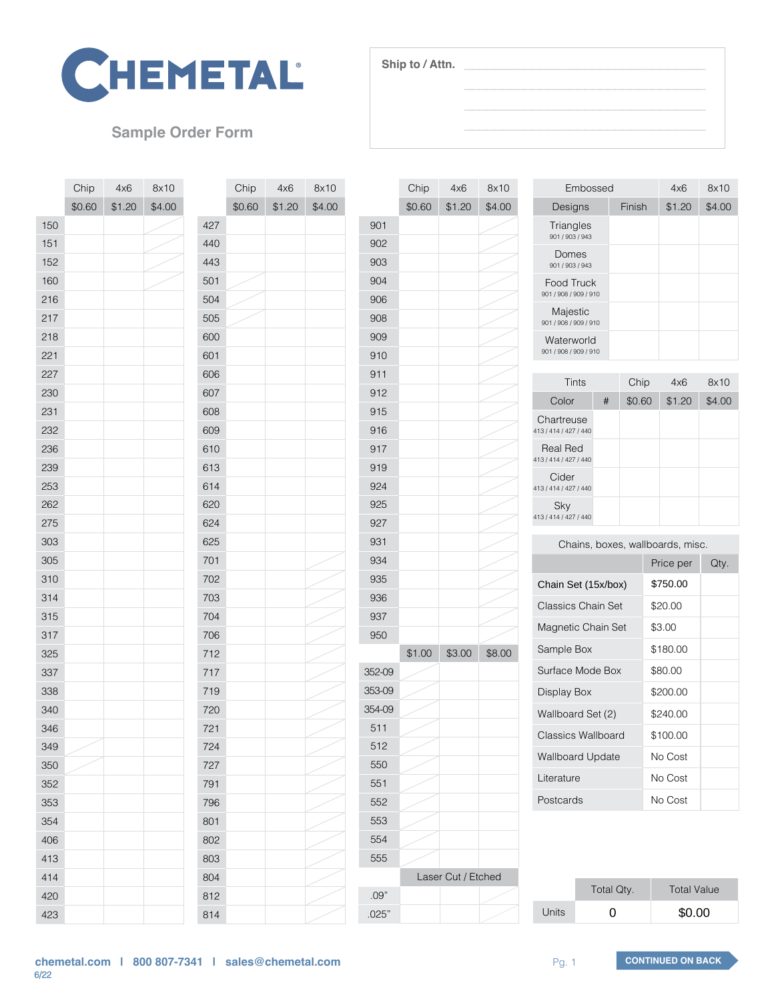

## **Sample Order Form**

|     | Chip   | 4x6    | 8x10   |     | Chip   | 4x6    | 8x10   |
|-----|--------|--------|--------|-----|--------|--------|--------|
|     | \$0.60 | \$1.20 | \$4.00 |     | \$0.60 | \$1.20 | \$4.00 |
| 150 |        |        |        | 427 |        |        |        |
| 151 |        |        |        | 440 |        |        |        |
| 152 |        |        |        | 443 |        |        |        |
| 160 |        |        |        | 501 |        |        |        |
| 216 |        |        |        | 504 |        |        |        |
| 217 |        |        |        | 505 |        |        |        |
| 218 |        |        |        | 600 |        |        |        |
| 221 |        |        |        | 601 |        |        |        |
| 227 |        |        |        | 606 |        |        |        |
| 230 |        |        |        | 607 |        |        |        |
| 231 |        |        |        | 608 |        |        |        |
| 232 |        |        |        | 609 |        |        |        |
| 236 |        |        |        | 610 |        |        |        |
| 239 |        |        |        | 613 |        |        |        |
| 253 |        |        |        | 614 |        |        |        |
| 262 |        |        |        | 620 |        |        |        |
| 275 |        |        |        | 624 |        |        |        |
| 303 |        |        |        | 625 |        |        |        |
| 305 |        |        |        | 701 |        |        |        |
| 310 |        |        |        | 702 |        |        |        |
| 314 |        |        |        | 703 |        |        |        |
| 315 |        |        |        | 704 |        |        |        |
| 317 |        |        |        | 706 |        |        |        |
| 325 |        |        |        | 712 |        |        |        |
| 337 |        |        |        | 717 |        |        |        |
| 338 |        |        |        | 719 |        |        |        |
| 340 |        |        |        | 720 |        |        |        |
| 346 |        |        |        | 721 |        |        |        |
| 349 |        |        |        | 724 |        |        |        |
| 350 |        |        |        | 727 |        |        |        |
| 352 |        |        |        | 791 |        |        |        |
| 353 |        |        |        | 796 |        |        |        |
| 354 |        |        |        | 801 |        |        |        |
| 406 |        |        |        | 802 |        |        |        |
| 413 |        |        |        | 803 |        |        |        |
| 414 |        |        |        | 804 |        |        |        |
| 420 |        |        |        | 812 |        |        |        |
| 423 |        |        |        | 814 |        |        |        |

|        | Chip               | 4x6    | 8x10   |  |
|--------|--------------------|--------|--------|--|
|        | \$0.60             | \$1.20 | \$4.00 |  |
| 901    |                    |        |        |  |
| 902    |                    |        |        |  |
| 903    |                    |        |        |  |
| 904    |                    |        |        |  |
| 906    |                    |        |        |  |
| 908    |                    |        |        |  |
| 909    |                    |        |        |  |
| 910    |                    |        |        |  |
| 911    |                    |        |        |  |
| 912    |                    |        |        |  |
| 915    |                    |        |        |  |
| 916    |                    |        |        |  |
| 917    |                    |        |        |  |
| 919    |                    |        |        |  |
| 924    |                    |        |        |  |
| 925    |                    |        |        |  |
| 927    |                    |        |        |  |
| 931    |                    |        |        |  |
| 934    |                    |        |        |  |
| 935    |                    |        |        |  |
| 936    |                    |        |        |  |
| 937    |                    |        |        |  |
| 950    |                    |        |        |  |
|        | \$1.00             | \$3.00 | \$8.00 |  |
| 352-09 |                    |        |        |  |
| 353-09 |                    |        |        |  |
| 354-09 |                    |        |        |  |
| 511    |                    |        |        |  |
| 512    |                    |        |        |  |
| 550    |                    |        |        |  |
| 551    |                    |        |        |  |
| 552    |                    |        |        |  |
| 553    |                    |        |        |  |
| 554    |                    |        |        |  |
| 555    |                    |        |        |  |
|        | Laser Cut / Etched |        |        |  |
| .09"   |                    |        |        |  |
| .025"  |                    |        |        |  |

**Ship to / Attn.**

| Embossed                            | 4x6    | 8x10   |        |
|-------------------------------------|--------|--------|--------|
| Designs                             | Finish | \$1.20 | \$4.00 |
| Triangles<br>901 / 903 / 943        |        |        |        |
| Domes<br>901 / 903 / 943            |        |        |        |
| Food Truck<br>901 / 908 / 909 / 910 |        |        |        |
| Majestic<br>901 / 908 / 909 / 910   |        |        |        |
| Waterworld<br>901 / 908 / 909 / 910 |        |        |        |

 $\overline{\phantom{a}}$  , and the set of the set of the set of the set of the set of the set of the set of the set of the set of the set of the set of the set of the set of the set of the set of the set of the set of the set of the s  $\overline{\phantom{a}}$  , and the set of the set of the set of the set of the set of the set of the set of the set of the set of the set of the set of the set of the set of the set of the set of the set of the set of the set of the s  $\frac{1}{2}$  ,  $\frac{1}{2}$  ,  $\frac{1}{2}$  ,  $\frac{1}{2}$  ,  $\frac{1}{2}$  ,  $\frac{1}{2}$  ,  $\frac{1}{2}$  ,  $\frac{1}{2}$  ,  $\frac{1}{2}$  ,  $\frac{1}{2}$  ,  $\frac{1}{2}$  ,  $\frac{1}{2}$  ,  $\frac{1}{2}$  ,  $\frac{1}{2}$  ,  $\frac{1}{2}$  ,  $\frac{1}{2}$  ,  $\frac{1}{2}$  ,  $\frac{1}{2}$  ,  $\frac{1$  $\overline{\phantom{a}}$  , and the set of the set of the set of the set of the set of the set of the set of the set of the set of the set of the set of the set of the set of the set of the set of the set of the set of the set of the s

| Tints                               | Chip | 4x6    | 8x10   |        |
|-------------------------------------|------|--------|--------|--------|
| Color                               | #    | \$0.60 | \$1.20 | \$4.00 |
| Chartreuse<br>413 / 414 / 427 / 440 |      |        |        |        |
| Real Red<br>413 / 414 / 427 / 440   |      |        |        |        |
| Cider<br>413 / 414 / 427 / 440      |      |        |        |        |
| Sky<br>413 / 414 / 427 / 440        |      |        |        |        |

Chains, boxes, wallboards, misc.

|                     |                           | Price per          | Qty. |
|---------------------|---------------------------|--------------------|------|
| Chain Set (15x/box) |                           | \$750.00           |      |
|                     | Classics Chain Set        | \$20.00            |      |
|                     | Magnetic Chain Set        | \$3.00             |      |
| Sample Box          |                           | \$180.00           |      |
|                     | Surface Mode Box          | \$80.00            |      |
| Display Box         |                           | \$200.00           |      |
|                     | Wallboard Set (2)         | \$240.00           |      |
|                     | <b>Classics Wallboard</b> | \$100.00           |      |
|                     | Wallboard Update          | No Cost            |      |
| Literature          |                           | No Cost            |      |
| Postcards           |                           | No Cost            |      |
|                     |                           |                    |      |
|                     | Total Qty.                | <b>Total Value</b> |      |
| Units               | 0                         | \$0.00             |      |

|              | Total Qty. | <b>Total Value</b> |
|--------------|------------|--------------------|
| <b>Units</b> | O          | \$0.00             |